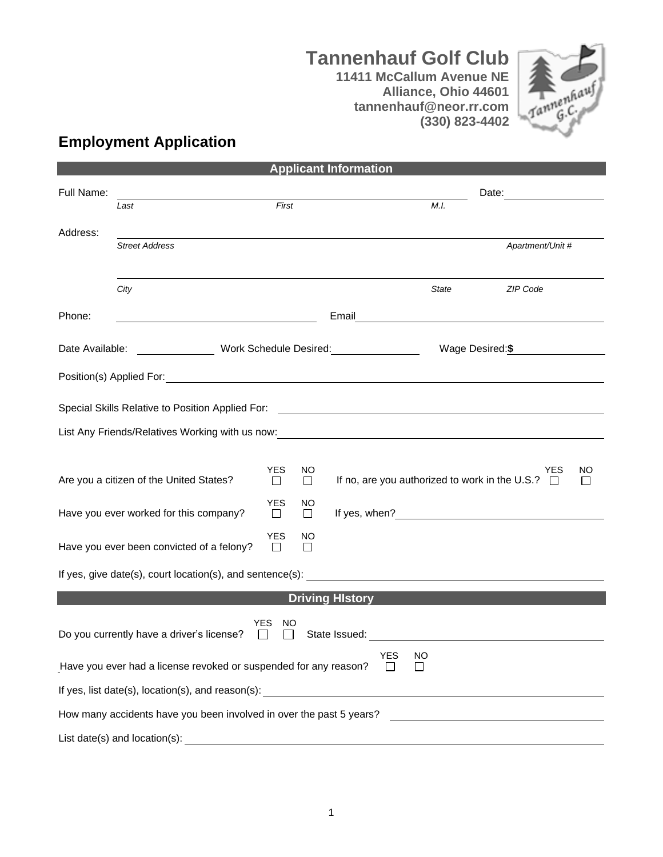## **Tannenhauf Golf Club 11411 McCallum Avenue NE Alliance, Ohio 44601**





## **Employment Application**

|            |                                                                                                                 |                                   |          | <b>Applicant Information</b> |              |                                                                  |
|------------|-----------------------------------------------------------------------------------------------------------------|-----------------------------------|----------|------------------------------|--------------|------------------------------------------------------------------|
| Full Name: |                                                                                                                 |                                   |          |                              |              | Date:                                                            |
|            | Last                                                                                                            | First                             |          |                              | M.I.         |                                                                  |
| Address:   |                                                                                                                 |                                   |          |                              |              |                                                                  |
|            | <b>Street Address</b>                                                                                           |                                   |          |                              |              | Apartment/Unit #                                                 |
|            |                                                                                                                 |                                   |          |                              |              |                                                                  |
|            | City                                                                                                            |                                   |          |                              | <b>State</b> | ZIP Code                                                         |
| Phone:     |                                                                                                                 |                                   |          |                              |              |                                                                  |
|            |                                                                                                                 |                                   |          |                              |              |                                                                  |
|            | Date Available: ___________________ Work Schedule Desired: _____________________                                |                                   |          |                              |              | Wage Desired: \$                                                 |
|            |                                                                                                                 |                                   |          |                              |              |                                                                  |
|            |                                                                                                                 |                                   |          |                              |              |                                                                  |
|            |                                                                                                                 |                                   |          |                              |              |                                                                  |
|            | List Any Friends/Relatives Working with us now: \\esp \\esp \\esp \\esp \\esp \\esp \\esp \\esp \\esp \\esp \\e |                                   |          |                              |              |                                                                  |
|            |                                                                                                                 | <b>YES</b>                        | NO.      |                              |              | <b>NO</b><br>YES                                                 |
|            | Are you a citizen of the United States?                                                                         | $\Box$                            | $\Box$   |                              |              | If no, are you authorized to work in the U.S.? $\Box$<br>$\perp$ |
|            | Have you ever worked for this company?                                                                          | <b>YES</b>                        | NO       |                              |              |                                                                  |
|            |                                                                                                                 | $\Box$                            | $\Box$   |                              |              | If yes, when? $\qquad \qquad$                                    |
|            | Have you ever been convicted of a felony?                                                                       | <b>YES</b><br>$\Box$              | NO.<br>П |                              |              |                                                                  |
|            | If yes, give date(s), court location(s), and sentence(s):                                                       |                                   |          |                              |              |                                                                  |
|            |                                                                                                                 |                                   |          |                              |              |                                                                  |
|            |                                                                                                                 |                                   |          | <b>Driving History</b>       |              |                                                                  |
|            | Do you currently have a driver's license?                                                                       | <b>YES</b><br>NO.<br>$\mathbf{I}$ |          | State Issued:                |              |                                                                  |
|            | Have you ever had a license revoked or suspended for any reason?                                                |                                   |          | YES NO                       |              |                                                                  |
|            |                                                                                                                 |                                   |          |                              |              |                                                                  |
|            | How many accidents have you been involved in over the past 5 years?                                             |                                   |          |                              |              |                                                                  |
|            | List date(s) and location(s):                                                                                   |                                   |          |                              |              |                                                                  |

**Applicant Information**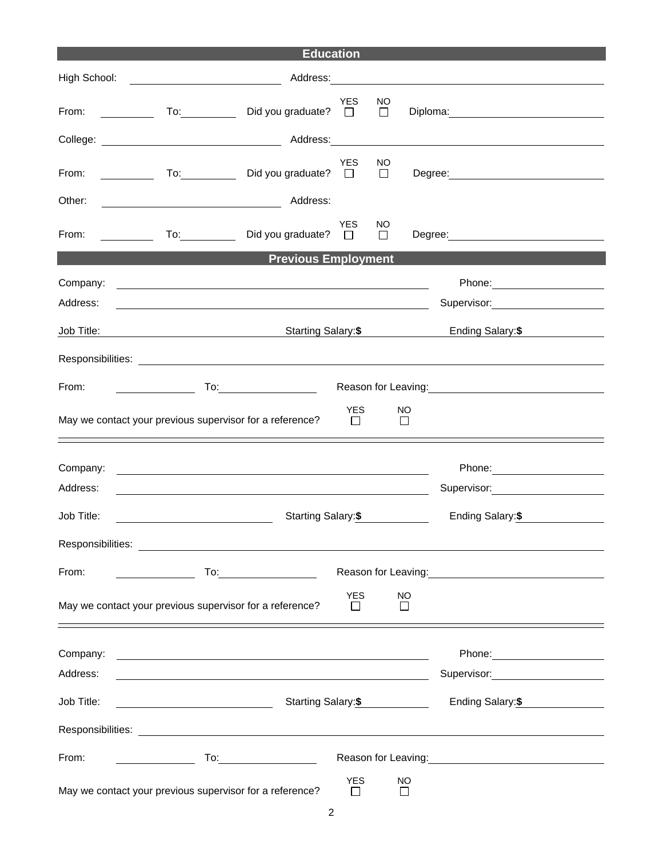| <b>Education</b>     |                                                                                                                                                                                                                                     |                       |               |                    |                                                                                                               |  |
|----------------------|-------------------------------------------------------------------------------------------------------------------------------------------------------------------------------------------------------------------------------------|-----------------------|---------------|--------------------|---------------------------------------------------------------------------------------------------------------|--|
| High School:         | <u> 1990 - John Stein, Amerikaansk politiker (</u>                                                                                                                                                                                  |                       |               |                    | Address: 2008. 2009. 2010. 2010. 2010. 2010. 2010. 2010. 2010. 2010. 2010. 2010. 2010. 2010. 2010. 2011. 2011 |  |
| From:                | Did you graduate? □                                                                                                                                                                                                                 | <b>YES</b>            | NO.<br>$\Box$ |                    |                                                                                                               |  |
|                      |                                                                                                                                                                                                                                     |                       |               |                    |                                                                                                               |  |
| From:                | Did you graduate? $\square$<br>$\overline{a}$ To: $\overline{a}$                                                                                                                                                                    | <b>YES</b>            | NO.<br>$\Box$ |                    | Degree: <u>www.community.com</u>                                                                              |  |
| Other:               | Address:                                                                                                                                                                                                                            |                       |               |                    |                                                                                                               |  |
| From:                | To: Did you graduate? □                                                                                                                                                                                                             | <b>YES</b>            | NO.<br>$\Box$ |                    | Degree: _______________________                                                                               |  |
|                      | <b>Previous Employment</b>                                                                                                                                                                                                          |                       |               |                    |                                                                                                               |  |
| Company:<br>Address: | <u> 1989 - Johann Barn, mars ann an t-Amhainn an t-Amhainn an t-Amhainn an t-Amhainn an t-Amhainn an t-Amhainn an</u><br><u> 1989 - Johann Barn, fransk politik (f. 1989)</u>                                                       |                       |               |                    | Supervisor: 2000                                                                                              |  |
| Job Title:           | Starting Salary: \$                                                                                                                                                                                                                 |                       |               |                    | Ending Salary:\$                                                                                              |  |
|                      | Responsibilities: <u>www.community.community.community.community.community.community.com</u>                                                                                                                                        |                       |               |                    |                                                                                                               |  |
| From:                | <b>To:</b> the contract of the contract of the contract of the contract of the contract of the contract of the contract of the contract of the contract of the contract of the contract of the contract of the contract of the cont |                       |               |                    | Reason for Leaving:<br><u>Example 2008</u>                                                                    |  |
|                      | May we contact your previous supervisor for a reference?                                                                                                                                                                            | <b>YES</b><br>$\Box$  |               | NO<br>$\Box$       |                                                                                                               |  |
| Company:             | <u> 1989 - Johann Stoff, deutscher Stoffen und der Stoffen und der Stoffen und der Stoffen und der Stoffen und der</u>                                                                                                              |                       |               |                    |                                                                                                               |  |
| Address:             | <u> 1989 - Johann Stoff, deutscher Stoffen und der Stoffen und der Stoffen und der Stoffen und der Stoffen und der</u>                                                                                                              |                       |               |                    | Supervisor: 2000                                                                                              |  |
| Job Title:           | Starting Salary:\$                                                                                                                                                                                                                  |                       |               |                    | Ending Salary:\$                                                                                              |  |
| Responsibilities:    |                                                                                                                                                                                                                                     |                       |               |                    |                                                                                                               |  |
| From:                |                                                                                                                                                                                                                                     |                       |               |                    | Reason for Leaving:<br><u> Reason</u> for Leaving:                                                            |  |
|                      | May we contact your previous supervisor for a reference?                                                                                                                                                                            | <b>YES</b><br>$\perp$ |               | NO<br>$\mathsf{L}$ |                                                                                                               |  |
| Company:             |                                                                                                                                                                                                                                     |                       |               |                    |                                                                                                               |  |
| Address:             |                                                                                                                                                                                                                                     |                       |               |                    | Supervisor: ____________________                                                                              |  |
| Job Title:           | Starting Salary:\$<br><u> 1989 - Johann Barnett, fransk politiker (</u>                                                                                                                                                             |                       |               |                    | Ending Salary: \$                                                                                             |  |
|                      |                                                                                                                                                                                                                                     |                       |               |                    |                                                                                                               |  |
| From:                | To: $\qquad \qquad$                                                                                                                                                                                                                 |                       |               |                    | Reason for Leaving:<br><u> Reason</u> for Leaving:                                                            |  |
|                      | May we contact your previous supervisor for a reference?                                                                                                                                                                            | <b>YES</b><br>$\Box$  |               | NO<br>П            |                                                                                                               |  |